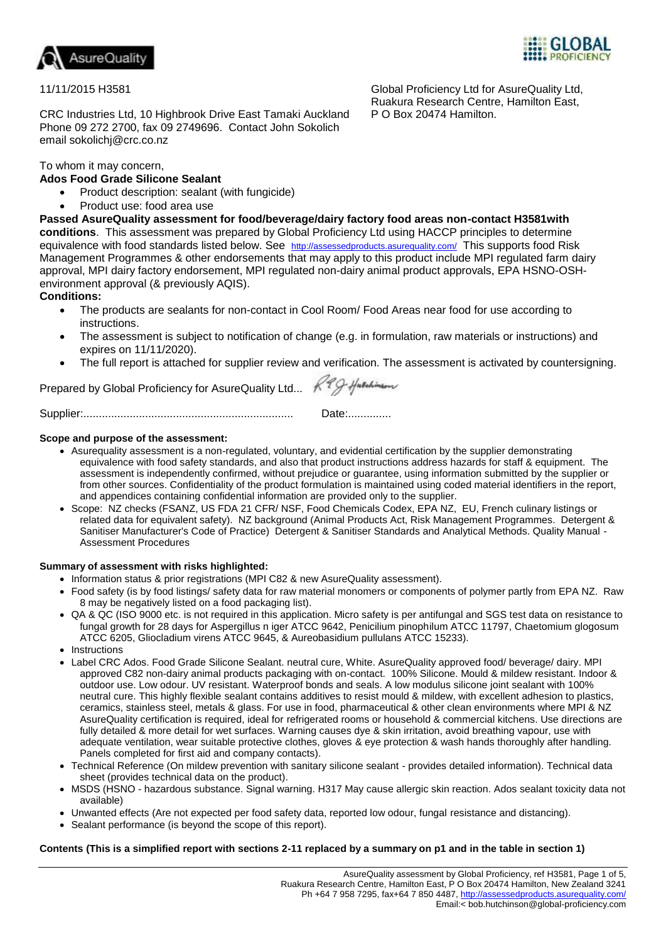



Global Proficiency Ltd for AsureQuality Ltd, Ruakura Research Centre, Hamilton East,

P O Box 20474 Hamilton.

# 11/11/2015 H3581

CRC Industries Ltd, 10 Highbrook Drive East Tamaki Auckland Phone 09 272 2700, fax 09 2749696. Contact John Sokolich email sokolichj@crc.co.nz

# To whom it may concern,

# **Ados Food Grade Silicone Sealant**

- Product description: sealant (with fungicide)
- Product use: food area use

**Passed AsureQuality assessment for food/beverage/dairy factory food areas non-contact H3581with conditions**. This assessment was prepared by Global Proficiency Ltd using HACCP principles to determine equivalence with food standards listed below. See <http://assessedproducts.asurequality.com/> This supports food Risk Management Programmes & other endorsements that may apply to this product include MPI regulated farm dairy approval, MPI dairy factory endorsement, MPI regulated non-dairy animal product approvals, EPA HSNO-OSHenvironment approval (& previously AQIS).

# **Conditions:**

- The products are sealants for non-contact in Cool Room/ Food Areas near food for use according to **instructions**
- The assessment is subject to notification of change (e.g. in formulation, raw materials or instructions) and expires on 11/11/2020).
- The full report is attached for supplier review and verification. The assessment is activated by countersigning.

Prepared by Global Proficiency for AsureQuality Ltd... K99-Husebinder

Supplier:.................................................................... Date:..............

# **Scope and purpose of the assessment:**

- Asurequality assessment is a non-regulated, voluntary, and evidential certification by the supplier demonstrating equivalence with food safety standards, and also that product instructions address hazards for staff & equipment. The assessment is independently confirmed, without prejudice or guarantee, using information submitted by the supplier or from other sources. Confidentiality of the product formulation is maintained using coded material identifiers in the report, and appendices containing confidential information are provided only to the supplier.
- Scope: NZ checks (FSANZ, US FDA 21 CFR/ NSF, Food Chemicals Codex, EPA NZ, EU, French culinary listings or related data for equivalent safety). NZ background (Animal Products Act, Risk Management Programmes. Detergent & Sanitiser Manufacturer's Code of Practice) Detergent & Sanitiser Standards and Analytical Methods. Quality Manual - Assessment Procedures

### **Summary of assessment with risks highlighted:**

- Information status & prior registrations (MPI C82 & new AsureQuality assessment).
	- Food safety (is by food listings/ safety data for raw material monomers or components of polymer partly from EPA NZ. Raw 8 may be negatively listed on a food packaging list).
	- QA & QC (ISO 9000 etc. is not required in this application. Micro safety is per antifungal and SGS test data on resistance to fungal growth for 28 days for Aspergillus n iger ATCC 9642, Penicilium pinophilum ATCC 11797, Chaetomium glogosum ATCC 6205, Gliocladium virens ATCC 9645, & Aureobasidium pullulans ATCC 15233).
	- Instructions
	- Label CRC Ados. Food Grade Silicone Sealant. neutral cure, White. AsureQuality approved food/ beverage/ dairy. MPI approved C82 non-dairy animal products packaging with on-contact. 100% Silicone. Mould & mildew resistant. Indoor & outdoor use. Low odour. UV resistant. Waterproof bonds and seals. A low modulus silicone joint sealant with 100% neutral cure. This highly flexible sealant contains additives to resist mould & mildew, with excellent adhesion to plastics, ceramics, stainless steel, metals & glass. For use in food, pharmaceutical & other clean environments where MPI & NZ AsureQuality certification is required, ideal for refrigerated rooms or household & commercial kitchens. Use directions are fully detailed & more detail for wet surfaces. Warning causes dye & skin irritation, avoid breathing vapour, use with adequate ventilation, wear suitable protective clothes, gloves & eye protection & wash hands thoroughly after handling. Panels completed for first aid and company contacts).
	- Technical Reference (On mildew prevention with sanitary silicone sealant provides detailed information). Technical data sheet (provides technical data on the product).
	- MSDS (HSNO hazardous substance. Signal warning. H317 May cause allergic skin reaction. Ados sealant toxicity data not available)
	- Unwanted effects (Are not expected per food safety data, reported low odour, fungal resistance and distancing).
	- Sealant performance (is beyond the scope of this report).

### **Contents (This is a simplified report with sections 2-11 replaced by a summary on p1 and in the table in section 1)**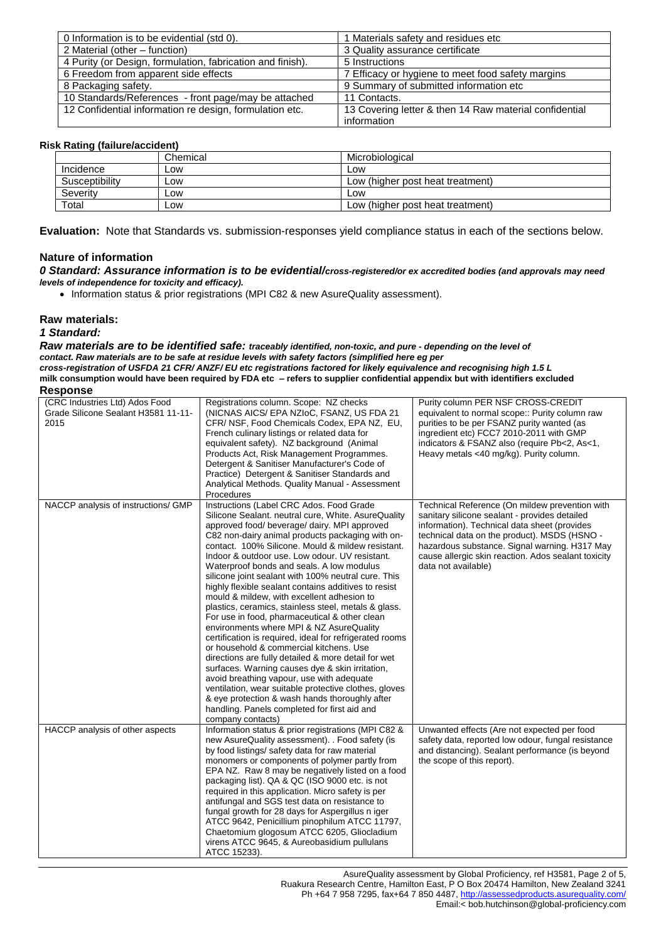| 0 Information is to be evidential (std 0).                 | 1 Materials safety and residues etc                    |
|------------------------------------------------------------|--------------------------------------------------------|
| 2 Material (other – function)                              | 3 Quality assurance certificate                        |
| 4 Purity (or Design, formulation, fabrication and finish). | 5 Instructions                                         |
| 6 Freedom from apparent side effects                       | 7 Efficacy or hygiene to meet food safety margins      |
| 8 Packaging safety.                                        | 9 Summary of submitted information etc                 |
| 10 Standards/References - front page/may be attached       | 11 Contacts.                                           |
| 12 Confidential information re design, formulation etc.    | 13 Covering letter & then 14 Raw material confidential |
|                                                            | information                                            |

#### **Risk Rating (failure/accident)**

| . .            |          |                                  |
|----------------|----------|----------------------------------|
|                | Chemical | Microbiological                  |
| Incidence      | Low      | LOW                              |
| Susceptibility | Low      | Low (higher post heat treatment) |
| Severity       | Low      | LOW                              |
| Total          | Low      | Low (higher post heat treatment) |

**Evaluation:** Note that Standards vs. submission-responses yield compliance status in each of the sections below.

### **Nature of information**

#### *0 Standard: Assurance information is to be evidential/cross-registered/or ex accredited bodies (and approvals may need levels of independence for toxicity and efficacy).*

• Information status & prior registrations (MPI C82 & new AsureQuality assessment).

#### **Raw materials:**

#### *1 Standard:*

*Raw materials are to be identified safe: traceably identified, non-toxic, and pure - depending on the level of contact. Raw materials are to be safe at residue levels with safety factors (simplified here eg per cross-registration of USFDA 21 CFR/ ANZF/ EU etc registrations factored for likely equivalence and recognising high 1.5 L*  **milk consumption would have been required by FDA etc – refers to supplier confidential appendix but with identifiers excluded**

#### **Response**

| (CRC Industries Ltd) Ados Food<br>Grade Silicone Sealant H3581 11-11-<br>2015 | Registrations column. Scope: NZ checks<br>(NICNAS AICS/EPA NZIOC, FSANZ, US FDA 21)<br>CFR/ NSF, Food Chemicals Codex, EPA NZ, EU,<br>French culinary listings or related data for<br>equivalent safety). NZ background (Animal<br>Products Act, Risk Management Programmes.<br>Detergent & Sanitiser Manufacturer's Code of<br>Practice) Detergent & Sanitiser Standards and<br>Analytical Methods. Quality Manual - Assessment<br>Procedures                                                                                                                                                                                                                                                                                                                                                                                                                                                                                                                                                                                                                                                                         | Purity column PER NSF CROSS-CREDIT<br>equivalent to normal scope:: Purity column raw<br>purities to be per FSANZ purity wanted (as<br>ingredient etc) FCC7 2010-2011 with GMP<br>indicators & FSANZ also (require Pb<2, As<1,<br>Heavy metals <40 mg/kg). Purity column.                                                       |
|-------------------------------------------------------------------------------|------------------------------------------------------------------------------------------------------------------------------------------------------------------------------------------------------------------------------------------------------------------------------------------------------------------------------------------------------------------------------------------------------------------------------------------------------------------------------------------------------------------------------------------------------------------------------------------------------------------------------------------------------------------------------------------------------------------------------------------------------------------------------------------------------------------------------------------------------------------------------------------------------------------------------------------------------------------------------------------------------------------------------------------------------------------------------------------------------------------------|--------------------------------------------------------------------------------------------------------------------------------------------------------------------------------------------------------------------------------------------------------------------------------------------------------------------------------|
| NACCP analysis of instructions/ GMP                                           | Instructions (Label CRC Ados. Food Grade<br>Silicone Sealant. neutral cure, White. AsureQuality<br>approved food/ beverage/ dairy. MPI approved<br>C82 non-dairy animal products packaging with on-<br>contact. 100% Silicone. Mould & mildew resistant.<br>Indoor & outdoor use. Low odour. UV resistant.<br>Waterproof bonds and seals. A low modulus<br>silicone joint sealant with 100% neutral cure. This<br>highly flexible sealant contains additives to resist<br>mould & mildew, with excellent adhesion to<br>plastics, ceramics, stainless steel, metals & glass.<br>For use in food, pharmaceutical & other clean<br>environments where MPI & NZ AsureQuality<br>certification is required, ideal for refrigerated rooms<br>or household & commercial kitchens. Use<br>directions are fully detailed & more detail for wet<br>surfaces. Warning causes dye & skin irritation,<br>avoid breathing vapour, use with adequate<br>ventilation, wear suitable protective clothes, gloves<br>& eye protection & wash hands thoroughly after<br>handling. Panels completed for first aid and<br>company contacts) | Technical Reference (On mildew prevention with<br>sanitary silicone sealant - provides detailed<br>information). Technical data sheet (provides<br>technical data on the product). MSDS (HSNO -<br>hazardous substance. Signal warning. H317 May<br>cause allergic skin reaction. Ados sealant toxicity<br>data not available) |
| HACCP analysis of other aspects                                               | Information status & prior registrations (MPI C82 &<br>new AsureQuality assessment). . Food safety (is<br>by food listings/ safety data for raw material<br>monomers or components of polymer partly from<br>EPA NZ. Raw 8 may be negatively listed on a food<br>packaging list). QA & QC (ISO 9000 etc. is not<br>required in this application. Micro safety is per<br>antifungal and SGS test data on resistance to<br>fungal growth for 28 days for Aspergillus n iger<br>ATCC 9642, Penicillium pinophilum ATCC 11797,<br>Chaetomium glogosum ATCC 6205, Gliocladium<br>virens ATCC 9645, & Aureobasidium pullulans<br>ATCC 15233).                                                                                                                                                                                                                                                                                                                                                                                                                                                                                | Unwanted effects (Are not expected per food<br>safety data, reported low odour, fungal resistance<br>and distancing). Sealant performance (is beyond<br>the scope of this report).                                                                                                                                             |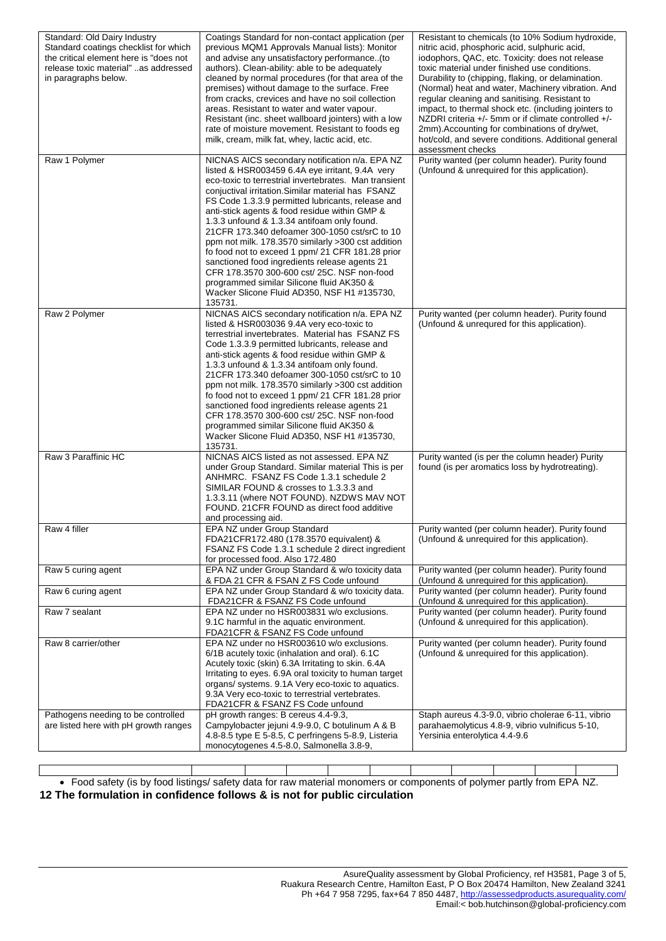| Standard: Old Dairy Industry<br>Standard coatings checklist for which<br>the critical element here is "does not<br>release toxic material" as addressed<br>in paragraphs below. | Coatings Standard for non-contact application (per<br>previous MQM1 Approvals Manual lists): Monitor<br>and advise any unsatisfactory performance. (to<br>authors). Clean-ability: able to be adequately<br>cleaned by normal procedures (for that area of the<br>premises) without damage to the surface. Free<br>from cracks, crevices and have no soil collection<br>areas. Resistant to water and water vapour.<br>Resistant (inc. sheet wallboard jointers) with a low<br>rate of moisture movement. Resistant to foods eg<br>milk, cream, milk fat, whey, lactic acid, etc.                                                                                                                                                        | Resistant to chemicals (to 10% Sodium hydroxide,<br>nitric acid, phosphoric acid, sulphuric acid,<br>iodophors, QAC, etc. Toxicity: does not release<br>toxic material under finished use conditions.<br>Durability to (chipping, flaking, or delamination.<br>(Normal) heat and water, Machinery vibration. And<br>regular cleaning and sanitising. Resistant to<br>impact, to thermal shock etc. (including jointers to<br>NZDRI criteria $+/-$ 5mm or if climate controlled $+/-$<br>2mm). Accounting for combinations of dry/wet,<br>hot/cold, and severe conditions. Additional general<br>assessment checks |
|---------------------------------------------------------------------------------------------------------------------------------------------------------------------------------|------------------------------------------------------------------------------------------------------------------------------------------------------------------------------------------------------------------------------------------------------------------------------------------------------------------------------------------------------------------------------------------------------------------------------------------------------------------------------------------------------------------------------------------------------------------------------------------------------------------------------------------------------------------------------------------------------------------------------------------|-------------------------------------------------------------------------------------------------------------------------------------------------------------------------------------------------------------------------------------------------------------------------------------------------------------------------------------------------------------------------------------------------------------------------------------------------------------------------------------------------------------------------------------------------------------------------------------------------------------------|
| Raw 1 Polymer                                                                                                                                                                   | NICNAS AICS secondary notification n/a. EPA NZ<br>listed & HSR003459 6.4A eye irritant, 9.4A very<br>eco-toxic to terrestrial invertebrates. Man transient<br>conjuctival irritation. Similar material has FSANZ<br>FS Code 1.3.3.9 permitted lubricants, release and<br>anti-stick agents & food residue within GMP &<br>1.3.3 unfound & 1.3.34 antifoam only found.<br>21 CFR 173.340 defoamer 300-1050 cst/srC to 10<br>ppm not milk. 178.3570 similarly >300 cst addition<br>fo food not to exceed 1 ppm/ 21 CFR 181.28 prior<br>sanctioned food ingredients release agents 21<br>CFR 178.3570 300-600 cst/ 25C. NSF non-food<br>programmed similar Silicone fluid AK350 &<br>Wacker Slicone Fluid AD350, NSF H1 #135730,<br>135731. | Purity wanted (per column header). Purity found<br>(Unfound & unrequired for this application).                                                                                                                                                                                                                                                                                                                                                                                                                                                                                                                   |
| Raw 2 Polymer                                                                                                                                                                   | NICNAS AICS secondary notification n/a. EPA NZ<br>listed & HSR003036 9.4A very eco-toxic to<br>terrestrial invertebrates. Material has FSANZ FS<br>Code 1.3.3.9 permitted lubricants, release and<br>anti-stick agents & food residue within GMP &<br>1.3.3 unfound & 1.3.34 antifoam only found.<br>21 CFR 173.340 defoamer 300-1050 cst/srC to 10<br>ppm not milk. 178.3570 similarly >300 cst addition<br>fo food not to exceed 1 ppm/ 21 CFR 181.28 prior<br>sanctioned food ingredients release agents 21<br>CFR 178.3570 300-600 cst/ 25C. NSF non-food<br>programmed similar Silicone fluid AK350 &<br>Wacker Slicone Fluid AD350, NSF H1 #135730,<br>135731.                                                                     | Purity wanted (per column header). Purity found<br>(Unfound & unrequred for this application).                                                                                                                                                                                                                                                                                                                                                                                                                                                                                                                    |
| Raw 3 Paraffinic HC                                                                                                                                                             | NICNAS AICS listed as not assessed. EPA NZ<br>under Group Standard. Similar material This is per<br>ANHMRC. FSANZ FS Code 1.3.1 schedule 2<br>SIMILAR FOUND & crosses to 1.3.3.3 and<br>1.3.3.11 (where NOT FOUND). NZDWS MAV NOT<br>FOUND. 21 CFR FOUND as direct food additive<br>and processing aid.                                                                                                                                                                                                                                                                                                                                                                                                                                  | Purity wanted (is per the column header) Purity<br>found (is per aromatics loss by hydrotreating).                                                                                                                                                                                                                                                                                                                                                                                                                                                                                                                |
| Raw 4 filler                                                                                                                                                                    | EPA NZ under Group Standard<br>FDA21CFR172.480 (178.3570 equivalent) &<br>FSANZ FS Code 1.3.1 schedule 2 direct ingredient<br>for processed food. Also 172.480                                                                                                                                                                                                                                                                                                                                                                                                                                                                                                                                                                           | Purity wanted (per column header). Purity found<br>(Unfound & unrequired for this application).                                                                                                                                                                                                                                                                                                                                                                                                                                                                                                                   |
| Raw 5 curing agent                                                                                                                                                              | EPA NZ under Group Standard & w/o toxicity data<br>& FDA 21 CFR & FSAN Z FS Code unfound                                                                                                                                                                                                                                                                                                                                                                                                                                                                                                                                                                                                                                                 | Purity wanted (per column header). Purity found<br>(Unfound & unrequired for this application).                                                                                                                                                                                                                                                                                                                                                                                                                                                                                                                   |
| Raw 6 curing agent                                                                                                                                                              | EPA NZ under Group Standard & w/o toxicity data.<br>FDA21CFR & FSANZ FS Code unfound                                                                                                                                                                                                                                                                                                                                                                                                                                                                                                                                                                                                                                                     | Purity wanted (per column header). Purity found<br>(Unfound & unrequired for this application).                                                                                                                                                                                                                                                                                                                                                                                                                                                                                                                   |
| Raw 7 sealant                                                                                                                                                                   | EPA NZ under no HSR003831 w/o exclusions.<br>9.1C harmful in the aquatic environment.<br>FDA21CFR & FSANZ FS Code unfound                                                                                                                                                                                                                                                                                                                                                                                                                                                                                                                                                                                                                | Purity wanted (per column header). Purity found<br>(Unfound & unrequired for this application).                                                                                                                                                                                                                                                                                                                                                                                                                                                                                                                   |
| Raw 8 carrier/other                                                                                                                                                             | EPA NZ under no HSR003610 w/o exclusions.<br>6/1B acutely toxic (inhalation and oral). 6.1C<br>Acutely toxic (skin) 6.3A Irritating to skin. 6.4A<br>Irritating to eyes. 6.9A oral toxicity to human target<br>organs/ systems. 9.1A Very eco-toxic to aquatics.<br>9.3A Very eco-toxic to terrestrial vertebrates.<br>FDA21CFR & FSANZ FS Code unfound                                                                                                                                                                                                                                                                                                                                                                                  | Purity wanted (per column header). Purity found<br>(Unfound & unrequired for this application).                                                                                                                                                                                                                                                                                                                                                                                                                                                                                                                   |
| Pathogens needing to be controlled<br>are listed here with pH growth ranges                                                                                                     | pH growth ranges: B cereus 4.4-9.3,<br>Campylobacter jejuni 4.9-9.0, C botulinum A & B<br>4.8-8.5 type E 5-8.5, C perfringens 5-8.9, Listeria<br>monocytogenes 4.5-8.0, Salmonella 3.8-9,                                                                                                                                                                                                                                                                                                                                                                                                                                                                                                                                                | Staph aureus 4.3-9.0, vibrio cholerae 6-11, vibrio<br>parahaemolyticus 4.8-9, vibrio vulnificus 5-10,<br>Yersinia enterolytica 4.4-9.6                                                                                                                                                                                                                                                                                                                                                                                                                                                                            |

 Food safety (is by food listings/ safety data for raw material monomers or components of polymer partly from EPA NZ. **12 The formulation in confidence follows & is not for public circulation**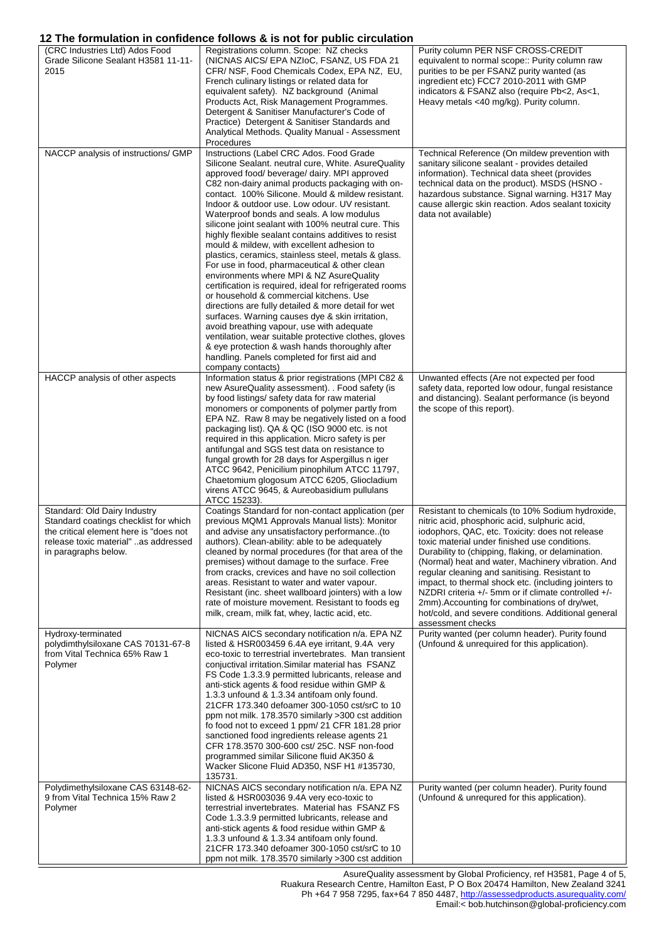# **12 The formulation in confidence follows & is not for public circulation**

|                                                                                                                                                                                 | <b>IZ THE IDITIONATION IN CONTRENCE TONOWS &amp; IS NOT TOT DUDITG CITCUIATION</b>                                                                                                                                                                                                                                                                                                                                                                                                                                                                                                                                                                                                                                                                                                                                                                                                                                                                                                                                                                                                                                     |                                                                                                                                                                                                                                                                                                                                                                                                                                                                                                                                                                                                                   |
|---------------------------------------------------------------------------------------------------------------------------------------------------------------------------------|------------------------------------------------------------------------------------------------------------------------------------------------------------------------------------------------------------------------------------------------------------------------------------------------------------------------------------------------------------------------------------------------------------------------------------------------------------------------------------------------------------------------------------------------------------------------------------------------------------------------------------------------------------------------------------------------------------------------------------------------------------------------------------------------------------------------------------------------------------------------------------------------------------------------------------------------------------------------------------------------------------------------------------------------------------------------------------------------------------------------|-------------------------------------------------------------------------------------------------------------------------------------------------------------------------------------------------------------------------------------------------------------------------------------------------------------------------------------------------------------------------------------------------------------------------------------------------------------------------------------------------------------------------------------------------------------------------------------------------------------------|
| (CRC Industries Ltd) Ados Food<br>Grade Silicone Sealant H3581 11-11-<br>2015                                                                                                   | Registrations column. Scope: NZ checks<br>(NICNAS AICS/ EPA NZIoC, FSANZ, US FDA 21<br>CFR/ NSF, Food Chemicals Codex, EPA NZ, EU,<br>French culinary listings or related data for<br>equivalent safety). NZ background (Animal<br>Products Act, Risk Management Programmes.<br>Detergent & Sanitiser Manufacturer's Code of<br>Practice) Detergent & Sanitiser Standards and<br>Analytical Methods. Quality Manual - Assessment<br>Procedures                                                                                                                                                                                                                                                                                                                                                                                                                                                                                                                                                                                                                                                                         | Purity column PER NSF CROSS-CREDIT<br>equivalent to normal scope:: Purity column raw<br>purities to be per FSANZ purity wanted (as<br>ingredient etc) FCC7 2010-2011 with GMP<br>indicators & FSANZ also (require Pb<2, As<1,<br>Heavy metals <40 mg/kg). Purity column.                                                                                                                                                                                                                                                                                                                                          |
| NACCP analysis of instructions/ GMP                                                                                                                                             | Instructions (Label CRC Ados. Food Grade<br>Silicone Sealant. neutral cure, White. AsureQuality<br>approved food/ beverage/ dairy. MPI approved<br>C82 non-dairy animal products packaging with on-<br>contact. 100% Silicone. Mould & mildew resistant.<br>Indoor & outdoor use. Low odour. UV resistant.<br>Waterproof bonds and seals. A low modulus<br>silicone joint sealant with 100% neutral cure. This<br>highly flexible sealant contains additives to resist<br>mould & mildew, with excellent adhesion to<br>plastics, ceramics, stainless steel, metals & glass.<br>For use in food, pharmaceutical & other clean<br>environments where MPI & NZ AsureQuality<br>certification is required, ideal for refrigerated rooms<br>or household & commercial kitchens. Use<br>directions are fully detailed & more detail for wet<br>surfaces. Warning causes dye & skin irritation,<br>avoid breathing vapour, use with adequate<br>ventilation, wear suitable protective clothes, gloves<br>& eye protection & wash hands thoroughly after<br>handling. Panels completed for first aid and<br>company contacts) | Technical Reference (On mildew prevention with<br>sanitary silicone sealant - provides detailed<br>information). Technical data sheet (provides<br>technical data on the product). MSDS (HSNO -<br>hazardous substance. Signal warning. H317 May<br>cause allergic skin reaction. Ados sealant toxicity<br>data not available)                                                                                                                                                                                                                                                                                    |
| HACCP analysis of other aspects                                                                                                                                                 | Information status & prior registrations (MPI C82 &<br>new AsureQuality assessment). . Food safety (is<br>by food listings/ safety data for raw material<br>monomers or components of polymer partly from<br>EPA NZ. Raw 8 may be negatively listed on a food<br>packaging list). QA & QC (ISO 9000 etc. is not<br>required in this application. Micro safety is per<br>antifungal and SGS test data on resistance to<br>fungal growth for 28 days for Aspergillus n iger<br>ATCC 9642, Penicilium pinophilum ATCC 11797,<br>Chaetomium glogosum ATCC 6205, Gliocladium<br>virens ATCC 9645, & Aureobasidium pullulans<br>ATCC 15233).                                                                                                                                                                                                                                                                                                                                                                                                                                                                                 | Unwanted effects (Are not expected per food<br>safety data, reported low odour, fungal resistance<br>and distancing). Sealant performance (is beyond<br>the scope of this report).                                                                                                                                                                                                                                                                                                                                                                                                                                |
| Standard: Old Dairy Industry<br>Standard coatings checklist for which<br>the critical element here is "does not<br>release toxic material" as addressed<br>in paragraphs below. | Coatings Standard for non-contact application (per<br>previous MQM1 Approvals Manual lists): Monitor<br>and advise any unsatisfactory performance(to<br>authors). Clean-ability: able to be adequately<br>cleaned by normal procedures (for that area of the<br>premises) without damage to the surface. Free<br>from cracks, crevices and have no soil collection<br>areas. Resistant to water and water vapour.<br>Resistant (inc. sheet wallboard jointers) with a low<br>rate of moisture movement. Resistant to foods eg<br>milk, cream, milk fat, whey, lactic acid, etc.                                                                                                                                                                                                                                                                                                                                                                                                                                                                                                                                        | Resistant to chemicals (to 10% Sodium hydroxide,<br>nitric acid, phosphoric acid, sulphuric acid,<br>iodophors, QAC, etc. Toxicity: does not release<br>toxic material under finished use conditions.<br>Durability to (chipping, flaking, or delamination.<br>(Normal) heat and water, Machinery vibration. And<br>regular cleaning and sanitising. Resistant to<br>impact, to thermal shock etc. (including jointers to<br>NZDRI criteria $+/-$ 5mm or if climate controlled $+/-$<br>2mm). Accounting for combinations of dry/wet,<br>hot/cold, and severe conditions. Additional general<br>assessment checks |
| Hydroxy-terminated<br>polydimthylsiloxane CAS 70131-67-8<br>from Vital Technica 65% Raw 1<br>Polymer                                                                            | NICNAS AICS secondary notification n/a. EPA NZ<br>listed & HSR003459 6.4A eye irritant, 9.4A very<br>eco-toxic to terrestrial invertebrates. Man transient<br>conjuctival irritation. Similar material has FSANZ<br>FS Code 1.3.3.9 permitted lubricants, release and<br>anti-stick agents & food residue within GMP &<br>1.3.3 unfound & 1.3.34 antifoam only found.<br>21 CFR 173.340 defoamer 300-1050 cst/srC to 10<br>ppm not milk. 178.3570 similarly >300 cst addition<br>fo food not to exceed 1 ppm/ 21 CFR 181.28 prior<br>sanctioned food ingredients release agents 21<br>CFR 178.3570 300-600 cst/ 25C. NSF non-food<br>programmed similar Silicone fluid AK350 &<br>Wacker Slicone Fluid AD350, NSF H1 #135730,<br>135731.                                                                                                                                                                                                                                                                                                                                                                               | Purity wanted (per column header). Purity found<br>(Unfound & unrequired for this application).                                                                                                                                                                                                                                                                                                                                                                                                                                                                                                                   |
| Polydimethylsiloxane CAS 63148-62-<br>9 from Vital Technica 15% Raw 2<br>Polymer                                                                                                | NICNAS AICS secondary notification n/a. EPA NZ<br>listed & HSR003036 9.4A very eco-toxic to<br>terrestrial invertebrates. Material has FSANZ FS<br>Code 1.3.3.9 permitted lubricants, release and<br>anti-stick agents & food residue within GMP &<br>1.3.3 unfound & 1.3.34 antifoam only found.<br>21 CFR 173.340 defoamer 300-1050 cst/srC to 10<br>ppm not milk. 178.3570 similarly >300 cst addition                                                                                                                                                                                                                                                                                                                                                                                                                                                                                                                                                                                                                                                                                                              | Purity wanted (per column header). Purity found<br>(Unfound & unrequred for this application).                                                                                                                                                                                                                                                                                                                                                                                                                                                                                                                    |

AsureQuality assessment by Global Proficiency, ref H3581, Page 4 of 5, Ruakura Research Centre, Hamilton East, P O Box 20474 Hamilton, New Zealand 3241 Ph +64 7 958 7295, fax+64 7 850 4487,<http://assessedproducts.asurequality.com/> Email:< bob.hutchinson@global-proficiency.com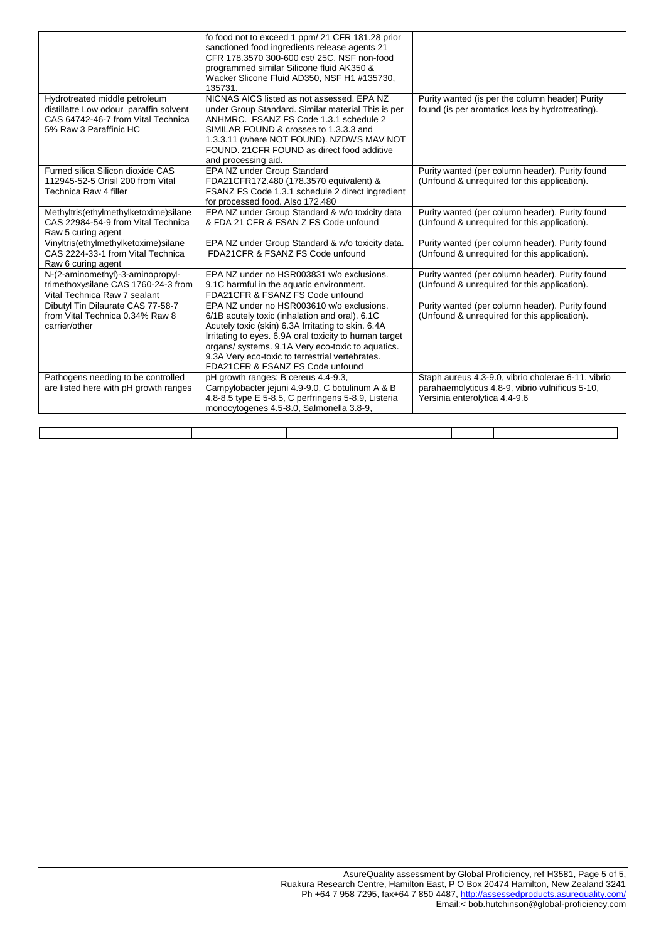|                                                                                                                                         | fo food not to exceed 1 ppm/ 21 CFR 181.28 prior<br>sanctioned food ingredients release agents 21<br>CFR 178.3570 300-600 cst/ 25C. NSF non-food<br>programmed similar Silicone fluid AK350 &<br>Wacker Slicone Fluid AD350, NSF H1 #135730,<br>135731.                                                                                                 |                                                                                                                                        |
|-----------------------------------------------------------------------------------------------------------------------------------------|---------------------------------------------------------------------------------------------------------------------------------------------------------------------------------------------------------------------------------------------------------------------------------------------------------------------------------------------------------|----------------------------------------------------------------------------------------------------------------------------------------|
| Hydrotreated middle petroleum<br>distillatte Low odour paraffin solvent<br>CAS 64742-46-7 from Vital Technica<br>5% Raw 3 Paraffinic HC | NICNAS AICS listed as not assessed. EPA NZ<br>under Group Standard. Similar material This is per<br>ANHMRC. FSANZ FS Code 1.3.1 schedule 2<br>SIMILAR FOUND & crosses to 1.3.3.3 and<br>1.3.3.11 (where NOT FOUND). NZDWS MAV NOT<br>FOUND. 21 CFR FOUND as direct food additive<br>and processing aid.                                                 | Purity wanted (is per the column header) Purity<br>found (is per aromatics loss by hydrotreating).                                     |
| Fumed silica Silicon dioxide CAS<br>112945-52-5 Orisil 200 from Vital<br>Technica Raw 4 filler                                          | EPA NZ under Group Standard<br>FDA21CFR172.480 (178.3570 equivalent) &<br>FSANZ FS Code 1.3.1 schedule 2 direct ingredient<br>for processed food. Also 172.480                                                                                                                                                                                          | Purity wanted (per column header). Purity found<br>(Unfound & unrequired for this application).                                        |
| Methyltris(ethylmethylketoxime)silane<br>CAS 22984-54-9 from Vital Technica<br>Raw 5 curing agent                                       | EPA NZ under Group Standard & w/o toxicity data<br>& FDA 21 CFR & FSAN Z FS Code unfound                                                                                                                                                                                                                                                                | Purity wanted (per column header). Purity found<br>(Unfound & unrequired for this application).                                        |
| Vinyltris(ethylmethylketoxime)silane<br>CAS 2224-33-1 from Vital Technica<br>Raw 6 curing agent                                         | EPA NZ under Group Standard & w/o toxicity data.<br>FDA21CFR & FSANZ FS Code unfound                                                                                                                                                                                                                                                                    | Purity wanted (per column header). Purity found<br>(Unfound & unrequired for this application).                                        |
| N-(2-aminomethyl)-3-aminopropyl-<br>trimethoxysilane CAS 1760-24-3 from<br>Vital Technica Raw 7 sealant                                 | EPA NZ under no HSR003831 w/o exclusions.<br>9.1C harmful in the aquatic environment.<br>FDA21CFR & FSANZ FS Code unfound                                                                                                                                                                                                                               | Purity wanted (per column header). Purity found<br>(Unfound & unrequired for this application).                                        |
| Dibutyl Tin Dilaurate CAS 77-58-7<br>from Vital Technica 0.34% Raw 8<br>carrier/other                                                   | EPA NZ under no HSR003610 w/o exclusions.<br>6/1B acutely toxic (inhalation and oral). 6.1C<br>Acutely toxic (skin) 6.3A Irritating to skin. 6.4A<br>Irritating to eyes. 6.9A oral toxicity to human target<br>organs/ systems. 9.1A Very eco-toxic to aquatics.<br>9.3A Very eco-toxic to terrestrial vertebrates.<br>FDA21CFR & FSANZ FS Code unfound | Purity wanted (per column header). Purity found<br>(Unfound & unrequired for this application).                                        |
| Pathogens needing to be controlled<br>are listed here with pH growth ranges                                                             | pH growth ranges: B cereus 4.4-9.3,<br>Campylobacter jejuni 4.9-9.0, C botulinum A & B<br>4.8-8.5 type E 5-8.5, C perfringens 5-8.9, Listeria<br>monocytogenes 4.5-8.0, Salmonella 3.8-9,                                                                                                                                                               | Staph aureus 4.3-9.0, vibrio cholerae 6-11, vibrio<br>parahaemolyticus 4.8-9, vibrio vulnificus 5-10,<br>Yersinia enterolytica 4.4-9.6 |
|                                                                                                                                         |                                                                                                                                                                                                                                                                                                                                                         |                                                                                                                                        |